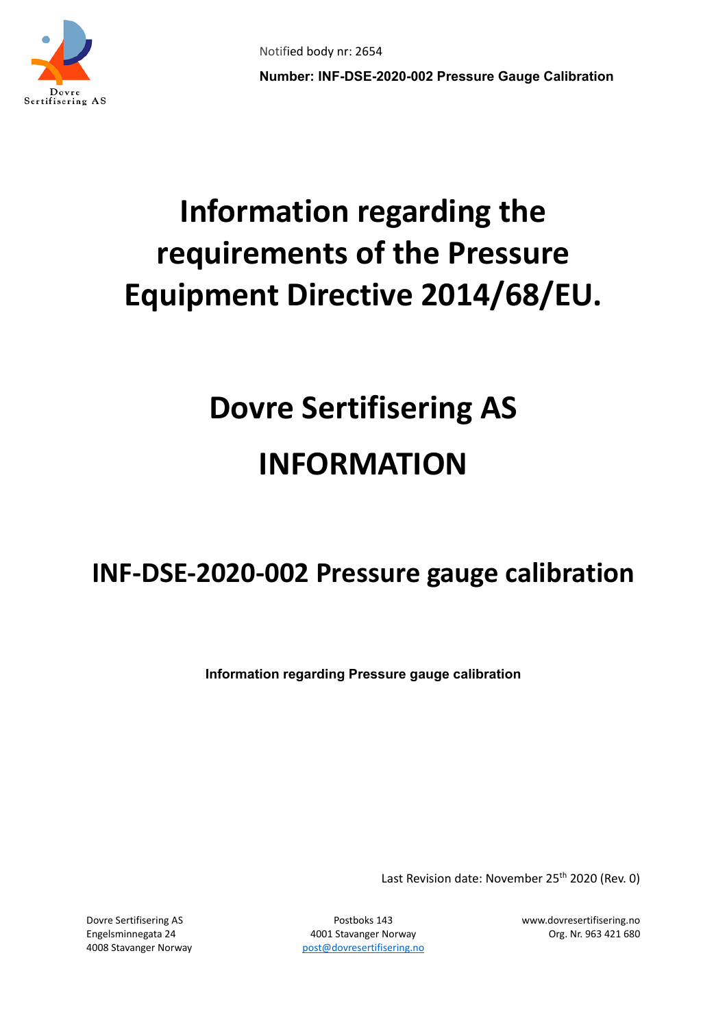

## **Information regarding the requirements of the Pressure Equipment Directive 2014/68/EU.**

# **Dovre Sertifisering AS INFORMATION**

### **INF-DSE-2020-002 Pressure gauge calibration**

**Information regarding Pressure gauge calibration**

Last Revision date: November 25<sup>th</sup> 2020 (Rev. 0)

Engelsminnegata 24 4001 Stavanger Norway Org. Nr. 963 421 680 4008 Stavanger Norway bost [post@dovresertifisering.no](mailto:post@dovresertifisering.no)

Dovre Sertifisering AS Postboks 143 www.dovresertifisering.no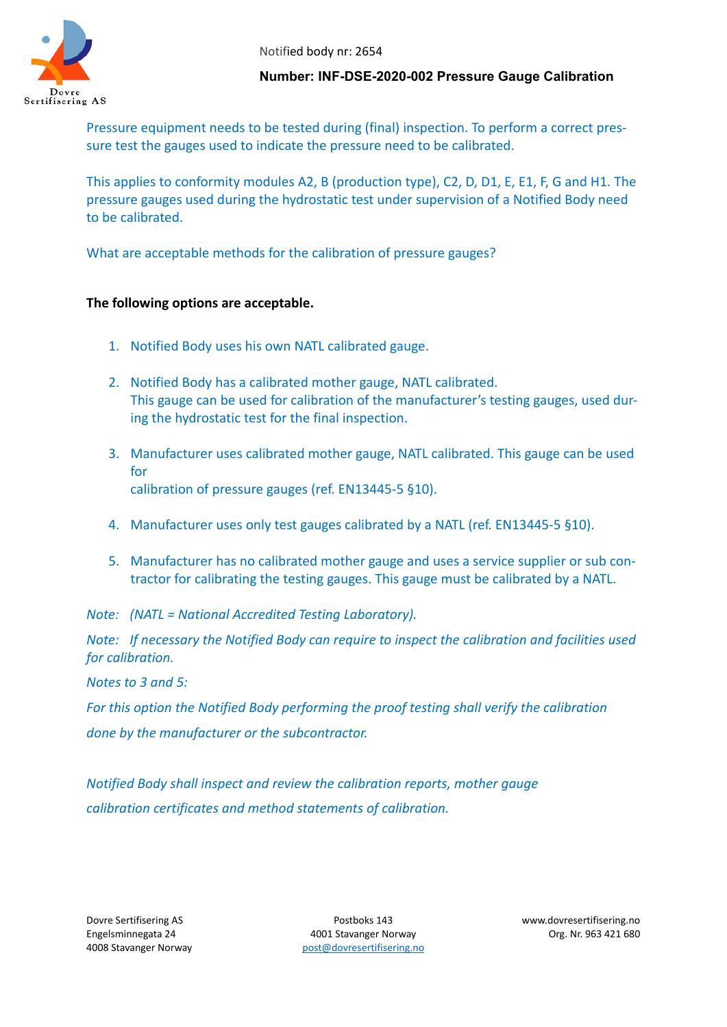

#### **Number: INF-DSE-2020-002 Pressure Gauge Calibration**

Pressure equipment needs to be tested during (final) inspection. To perform a correct pressure test the gauges used to indicate the pressure need to be calibrated.

This applies to conformity modules A2, B (production type), C2, D, D1, E, E1, F, G and H1. The pressure gauges used during the hydrostatic test under supervision of a Notified Body need to be calibrated.

What are acceptable methods for the calibration of pressure gauges?

#### **The following options are acceptable.**

- 1. Notified Body uses his own NATL calibrated gauge.
- 2. Notified Body has a calibrated mother gauge, NATL calibrated. This gauge can be used for calibration of the manufacturer's testing gauges, used during the hydrostatic test for the final inspection.
- 3. Manufacturer uses calibrated mother gauge, NATL calibrated. This gauge can be used for calibration of pressure gauges (ref. EN13445-5 §10).
- 4. Manufacturer uses only test gauges calibrated by a NATL (ref. EN13445-5 §10).
- 5. Manufacturer has no calibrated mother gauge and uses a service supplier or sub contractor for calibrating the testing gauges. This gauge must be calibrated by a NATL.

*Note: (NATL = National Accredited Testing Laboratory).*

*Note: If necessary the Notified Body can require to inspect the calibration and facilities used for calibration.*

*Notes to 3 and 5:* 

*For this option the Notified Body performing the proof testing shall verify the calibration done by the manufacturer or the subcontractor.*

*Notified Body shall inspect and review the calibration reports, mother gauge calibration certificates and method statements of calibration.*